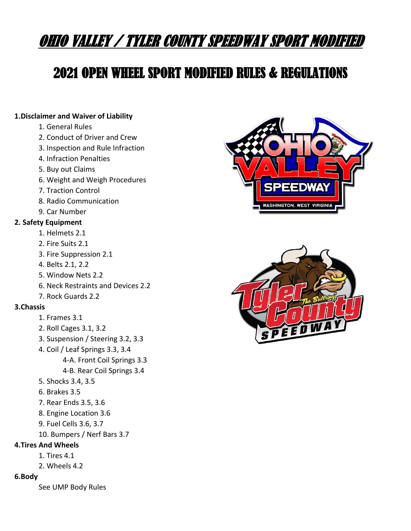# OHIO VALLEY / TYLER COUNTY SPEEDWAY SPORT MODIFIED

# 2021 OPEN WHEEL SPORT MODIFIED RULES & REGULATIONS

# **1.Disclaimer and Waiver of Liability**

- 1. General Rules
- 2. Conduct of Driver and Crew
- 3. Inspection and Rule Infraction
- 4. Infraction Penalties
- 5. Buy out Claims
- 6. Weight and Weigh Procedures
- 7. Traction Control
- 8. Radio Communication
- 9. Car Number

# **2. Safety Equipment**

- 1. Helmets 2.1
- 2. Fire Suits 2.1
- 3. Fire Suppression 2.1
- 4. Belts 2.1, 2.2
- 5. Window Nets 2.2
- 6. Neck Restraints and Devices 2.2
- 7. Rock Guards 2.2

# **3.Chassis**

- 1. Frames 3.1
- 2. Roll Cages 3.1, 3.2
- 3. Suspension / Steering 3.2, 3.3
- 4. Coil / Leaf Springs 3.3, 3.4
	- 4-A. Front Coil Springs 3.3
	- 4-B. Rear Coil Springs 3.4
- 5. Shocks 3.4, 3.5
- 6. Brakes 3.5
- 7. Rear Ends 3.5, 3.6
- 8. Engine Location 3.6
- 9. Fuel Cells 3.6, 3.7
- 10. Bumpers / Nerf Bars 3.7
- **4.Tires And Wheels**
	- 1. Tires 4.1
	- 2. Wheels 4.2

# **6.Body**

See UMP Body Rules



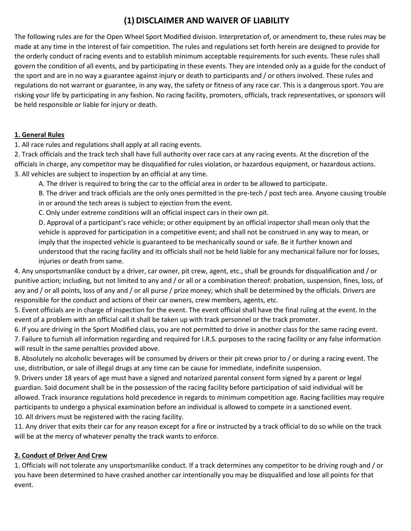# **(1)DISCLAIMER AND WAIVER OF LIABILITY**

The following rules are for the Open Wheel Sport Modified division. Interpretation of, or amendment to, these rules may be made at any time in the interest of fair competition. The rules and regulations set forth herein are designed to provide for the orderly conduct of racing events and to establish minimum acceptable requirements for such events. These rules shall govern the condition of all events, and by participating in these events. They are intended only as a guide for the conduct of the sport and are in no way a guarantee against injury or death to participants and / or others involved. These rules and regulations do not warrant or guarantee, in any way, the safety or fitness of any race car. This is a dangerous sport. You are risking your life by participating in any fashion. No racing facility, promoters, officials, track representatives, or sponsors will be held responsible or liable for injury or death.

# **1. General Rules**

1. All race rules and regulations shall apply at all racing events.

2. Track officials and the track tech shall have full authority over race cars at any racing events. At the discretion of the officials in charge, any competitor may be disqualified for rules violation, or hazardous equipment, or hazardous actions. 3. All vehicles are subject to inspection by an official at any time.

A. The driver is required to bring the car to the official area in order to be allowed to participate.

B. The driver and track officials are the only ones permitted in the pre-tech / post tech area. Anyone causing trouble in or around the tech areas is subject to ejection from the event.

C. Only under extreme conditions will an official inspect cars in their own pit.

D. Approval of a participant's race vehicle; or other equipment by an official inspector shall mean only that the vehicle is approved for participation in a competitive event; and shall not be construed in any way to mean, or imply that the inspected vehicle is guaranteed to be mechanically sound or safe. Be it further known and understood that the racing facility and its officials shall not be held liable for any mechanical failure nor for losses, injuries or death from same.

4. Any unsportsmanlike conduct by a driver, car owner, pit crew, agent, etc., shall be grounds for disqualification and / or punitive action; including, but not limited to any and / or all or a combination thereof: probation, suspension, fines, loss, of any and / or all points, loss of any and / or all purse / prize money; which shall be determined by the officials. Drivers are responsible for the conduct and actions of their car owners, crew members, agents, etc.

5. Event officials are in charge of inspection for the event. The event official shall have the final ruling at the event. In the event of a problem with an official call it shall be taken up with track personnel or the track promoter.

6. If you are driving in the Sport Modified class, you are not permitted to drive in another class for the same racing event. 7. Failure to furnish all information regarding and required for I.R.S. purposes to the racing facility or any false information will result in the same penalties provided above.

8. Absolutely no alcoholic beverages will be consumed by drivers or their pit crews prior to / or during a racing event. The use, distribution, or sale of illegal drugs at any time can be cause for immediate, indefinite suspension.

9. Drivers under 18 years of age must have a signed and notarized parental consent form signed by a parent or legal guardian. Said document shall be in the possession of the racing facility before participation of said individual will be allowed. Track insurance regulations hold precedence in regards to minimum competition age. Racing facilities may require participants to undergo a physical examination before an individual is allowed to compete in a sanctioned event. 10. All drivers must be registered with the racing facility.

11. Any driver that exits their car for any reason except for a fire or instructed by a track official to do so while on the track will be at the mercy of whatever penalty the track wants to enforce.

# **2. Conduct of Driver And Crew**

1. Officials will not tolerate any unsportsmanlike conduct. If a track determines any competitor to be driving rough and / or you have been determined to have crashed another car intentionally you may be disqualified and lose all points for that event.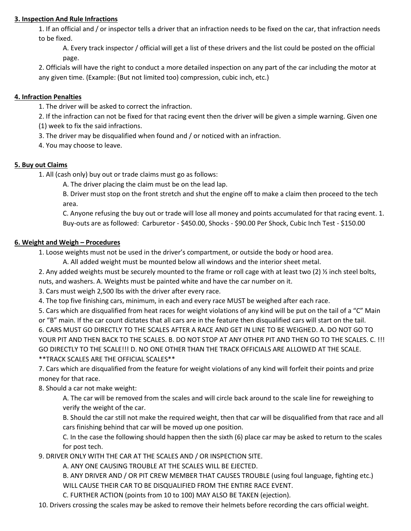## **3. Inspection And Rule Infractions**

1. If an official and / or inspector tells a driver that an infraction needs to be fixed on the car, that infraction needs to be fixed.

A. Every track inspector / official will get a list of these drivers and the list could be posted on the official page.

2. Officials will have the right to conduct a more detailed inspection on any part of the car including the motor at any given time. (Example: (But not limited too) compression, cubic inch, etc.)

## **4. Infraction Penalties**

1. The driver will be asked to correct the infraction.

2. If the infraction can not be fixed for that racing event then the driver will be given a simple warning. Given one (1) week to fix the said infractions.

3. The driver may be disqualified when found and / or noticed with an infraction.

4. You may choose to leave.

# **5. Buy out Claims**

1. All (cash only) buy out or trade claims must go as follows:

A. The driver placing the claim must be on the lead lap.

B. Driver must stop on the front stretch and shut the engine off to make a claim then proceed to the tech area.

C. Anyone refusing the buy out or trade will lose all money and points accumulated for that racing event. 1. Buy-outs are as followed: Carburetor - \$450.00, Shocks - \$90.00 Per Shock, Cubic Inch Test - \$150.00

#### **6. Weight and Weigh – Procedures**

1. Loose weights must not be used in the driver's compartment, or outside the body or hood area.

A. All added weight must be mounted below all windows and the interior sheet metal.

2. Any added weights must be securely mounted to the frame or roll cage with at least two (2)  $\frac{1}{2}$  inch steel bolts, nuts, and washers. A. Weights must be painted white and have the car number on it.

3. Cars must weigh 2,500 lbs with the driver after every race.

4. The top five finishing cars, minimum, in each and every race MUST be weighed after each race.

5. Cars which are disqualified from heat races for weight violations of any kind will be put on the tail of a "C" Main or "B" main. If the car count dictates that all cars are in the feature then disqualified cars will start on the tail.

6. CARS MUST GO DIRECTLY TO THE SCALES AFTER A RACE AND GET IN LINE TO BE WEIGHED. A. DO NOT GO TO YOUR PIT AND THEN BACK TO THE SCALES. B. DO NOT STOP AT ANY OTHER PIT AND THEN GO TO THE SCALES. C. !!! GO DIRECTLY TO THE SCALE!!! D. NO ONE OTHER THAN THE TRACK OFFICIALS ARE ALLOWED AT THE SCALE. \*\*TRACK SCALES ARE THE OFFICIAL SCALES\*\*

7. Cars which are disqualified from the feature for weight violations of any kind will forfeit their points and prize money for that race.

8. Should a car not make weight:

A. The car will be removed from the scales and will circle back around to the scale line for reweighing to verify the weight of the car.

B. Should the car still not make the required weight, then that car will be disqualified from that race and all cars finishing behind that car will be moved up one position.

C. In the case the following should happen then the sixth (6) place car may be asked to return to the scales for post tech.

9. DRIVER ONLY WITH THE CAR AT THE SCALES AND / OR INSPECTION SITE.

A. ANY ONE CAUSING TROUBLE AT THE SCALES WILL BE EJECTED.

B. ANY DRIVER AND / OR PIT CREW MEMBER THAT CAUSES TROUBLE (using foul language, fighting etc.) WILL CAUSE THEIR CAR TO BE DISQUALIFIED FROM THE ENTIRE RACE EVENT.

C. FURTHER ACTION (points from 10 to 100) MAY ALSO BE TAKEN (ejection).

10. Drivers crossing the scales may be asked to remove their helmets before recording the cars official weight.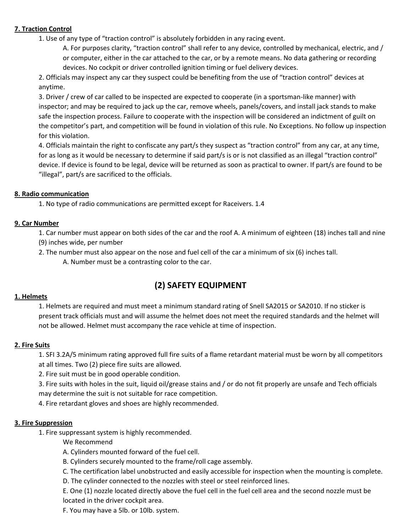# **7. Traction Control**

1. Use of any type of "traction control" is absolutely forbidden in any racing event.

A. For purposes clarity, "traction control" shall refer to any device, controlled by mechanical, electric, and / or computer, either in the car attached to the car, or by a remote means. No data gathering or recording devices. No cockpit or driver controlled ignition timing or fuel delivery devices.

2. Officials may inspect any car they suspect could be benefiting from the use of "traction control" devices at anytime.

3. Driver / crew of car called to be inspected are expected to cooperate (in a sportsman-like manner) with inspector; and may be required to jack up the car, remove wheels, panels/covers, and install jack stands to make safe the inspection process. Failure to cooperate with the inspection will be considered an indictment of guilt on the competitor's part, and competition will be found in violation of this rule. No Exceptions. No follow up inspection for this violation.

4. Officials maintain the right to confiscate any part/s they suspect as "traction control" from any car, at any time, for as long as it would be necessary to determine if said part/s is or is not classified as an illegal "traction control" device. If device is found to be legal, device will be returned as soon as practical to owner. If part/s are found to be "illegal", part/s are sacrificed to the officials.

### **8. Radio communication**

1. No type of radio communications are permitted except for Raceivers. 1.4

### **9. Car Number**

1. Car number must appear on both sides of the car and the roof A. A minimum of eighteen (18) inches tall and nine (9) inches wide, per number

2. The number must also appear on the nose and fuel cell of the car a minimum of six (6) inches tall.

A. Number must be a contrasting color to the car.

# **(2) SAFETY EQUIPMENT**

# **1. Helmets**

1. Helmets are required and must meet a minimum standard rating of Snell SA2015 or SA2010. If no sticker is present track officials must and will assume the helmet does not meet the required standards and the helmet will not be allowed. Helmet must accompany the race vehicle at time of inspection.

# **2. Fire Suits**

1. SFI 3.2A/5 minimum rating approved full fire suits of a flame retardant material must be worn by all competitors at all times. Two (2) piece fire suits are allowed.

2. Fire suit must be in good operable condition.

3. Fire suits with holes in the suit, liquid oil/grease stains and / or do not fit properly are unsafe and Tech officials may determine the suit is not suitable for race competition.

4. Fire retardant gloves and shoes are highly recommended.

#### **3. Fire Suppression**

1. Fire suppressant system is highly recommended.

We Recommend

- A. Cylinders mounted forward of the fuel cell.
- B. Cylinders securely mounted to the frame/roll cage assembly.
- C. The certification label unobstructed and easily accessible for inspection when the mounting is complete.
- D. The cylinder connected to the nozzles with steel or steel reinforced lines.

E. One (1) nozzle located directly above the fuel cell in the fuel cell area and the second nozzle must be located in the driver cockpit area.

F. You may have a 5lb. or 10lb. system.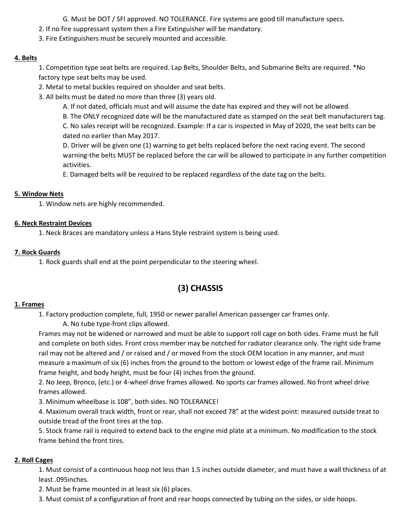G. Must be DOT / SFI approved. NO TOLERANCE. Fire systems are good till manufacture specs.

2. If no fire suppressant system then a Fire Extinguisher will be mandatory.

3. Fire Extinguishers must be securely mounted and accessible.

### **4. Belts**

1. Competition type seat belts are required. Lap Belts, Shoulder Belts, and Submarine Belts are required. \*No factory type seat belts may be used.

2. Metal to metal buckles required on shoulder and seat belts.

3. All belts must be dated no more than three (3) years old.

A. If not dated, officials must and will assume the date has expired and they will not be allowed.

B. The ONLY recognized date will be the manufactured date as stamped on the seat belt manufacturers tag.

C. No sales receipt will be recognized. Example: If a car is inspected in May of 2020, the seat belts can be dated no earlier than May 2017.

D. Driver will be given one (1) warning to get belts replaced before the next racing event. The second warning-the belts MUST be replaced before the car will be allowed to participate in any further competition activities.

E. Damaged belts will be required to be replaced regardless of the date tag on the belts.

### **5. Window Nets**

1. Window nets are highly recommended.

### **6. Neck Restraint Devices**

1. Neck Braces are mandatory unless a Hans Style restraint system is being used.

### **7. Rock Guards**

1. Rock guards shall end at the point perpendicular to the steering wheel.

# **(3) CHASSIS**

#### **1. Frames**

1. Factory production complete, full, 1950 or newer parallel American passenger car frames only.

A. No tube type-front clips allowed.

Frames may not be widened or narrowed and must be able to support roll cage on both sides. Frame must be full and complete on both sides. Front cross member may be notched for radiator clearance only. The right side frame rail may not be altered and / or raised and / or moved from the stock OEM location in any manner, and must measure a maximum of six (6) inches from the ground to the bottom or lowest edge of the frame rail. Minimum frame height, and body height, must be four (4) inches from the ground.

2. No Jeep, Bronco, (etc.) or 4-wheel drive frames allowed. No sports car frames allowed. No front wheel drive frames allowed.

3. Minimum wheelbase is 108", both sides. NO TOLERANCE!

4. Maximum overall track width, front or rear, shall not exceed 78" at the widest point: measured outside treat to outside tread of the front tires at the top.

5. Stock frame rail is required to extend back to the engine mid plate at a minimum. No modification to the stock frame behind the front tires.

#### **2. Roll Cages**

1. Must consist of a continuous hoop not less than 1.5 inches outside diameter, and must have a wall thickness of at least .095inches.

2. Must be frame mounted in at least six (6) places.

3. Must consist of a configuration of front and rear hoops connected by tubing on the sides, or side hoops.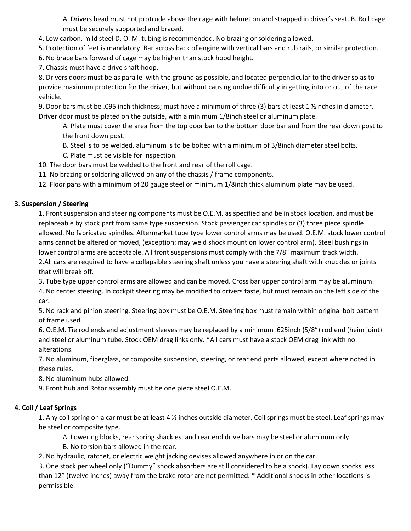A. Drivers head must not protrude above the cage with helmet on and strapped in driver's seat. B. Roll cage must be securely supported and braced.

4. Low carbon, mild steel D. O. M. tubing is recommended. No brazing or soldering allowed.

5. Protection of feet is mandatory. Bar across back of engine with vertical bars and rub rails, or similar protection.

6. No brace bars forward of cage may be higher than stock hood height.

7. Chassis must have a drive shaft hoop.

8. Drivers doors must be as parallel with the ground as possible, and located perpendicular to the driver so as to provide maximum protection for the driver, but without causing undue difficulty in getting into or out of the race vehicle.

9. Door bars must be .095 inch thickness; must have a minimum of three (3) bars at least 1 1/2 inches in diameter. Driver door must be plated on the outside, with a minimum 1/8inch steel or aluminum plate.

A. Plate must cover the area from the top door bar to the bottom door bar and from the rear down post to the front down post.

B. Steel is to be welded, aluminum is to be bolted with a minimum of 3/8inch diameter steel bolts.

C. Plate must be visible for inspection.

10. The door bars must be welded to the front and rear of the roll cage.

11. No brazing or soldering allowed on any of the chassis / frame components.

12. Floor pans with a minimum of 20 gauge steel or minimum 1/8inch thick aluminum plate may be used.

# **3. Suspension / Steering**

1. Front suspension and steering components must be O.E.M. as specified and be in stock location, and must be replaceable by stock part from same type suspension. Stock passenger car spindles or (3) three piece spindle allowed. No fabricated spindles. Aftermarket tube type lower control arms may be used. O.E.M. stock lower control arms cannot be altered or moved, (exception: may weld shock mount on lower control arm). Steel bushings in lower control arms are acceptable. All front suspensions must comply with the 7/8" maximum track width. 2.All cars are required to have a collapsible steering shaft unless you have a steering shaft with knuckles or joints that will break off.

3. Tube type upper control arms are allowed and can be moved. Cross bar upper control arm may be aluminum.

4. No center steering. In cockpit steering may be modified to drivers taste, but must remain on the left side of the car.

5. No rack and pinion steering. Steering box must be O.E.M. Steering box must remain within original bolt pattern of frame used.

6. O.E.M. Tie rod ends and adjustment sleeves may be replaced by a minimum .625inch (5/8") rod end (heim joint) and steel or aluminum tube. Stock OEM drag links only. \*All cars must have a stock OEM drag link with no alterations.

7. No aluminum, fiberglass, or composite suspension, steering, or rear end parts allowed, except where noted in these rules.

8. No aluminum hubs allowed.

9. Front hub and Rotor assembly must be one piece steel O.E.M.

# **4. Coil / Leaf Springs**

1. Any coil spring on a car must be at least  $4\frac{1}{2}$  inches outside diameter. Coil springs must be steel. Leaf springs may be steel or composite type.

A. Lowering blocks, rear spring shackles, and rear end drive bars may be steel or aluminum only.

B. No torsion bars allowed in the rear.

2. No hydraulic, ratchet, or electric weight jacking devises allowed anywhere in or on the car.

3. One stock per wheel only ("Dummy" shock absorbers are still considered to be a shock). Lay down shocks less than 12" (twelve inches) away from the brake rotor are not permitted. \* Additional shocks in other locations is permissible.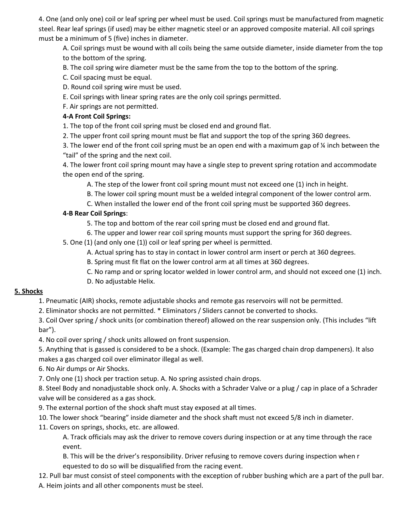4. One (and only one) coil or leaf spring per wheel must be used. Coil springs must be manufactured from magnetic steel. Rear leaf springs (if used) may be either magnetic steel or an approved composite material. All coil springs must be a minimum of 5 (five) inches in diameter.

A. Coil springs must be wound with all coils being the same outside diameter, inside diameter from the top to the bottom of the spring.

B. The coil spring wire diameter must be the same from the top to the bottom of the spring.

- C. Coil spacing must be equal.
- D. Round coil spring wire must be used.
- E. Coil springs with linear spring rates are the only coil springs permitted.
- F. Air springs are not permitted.

# **4-A Front Coil Springs:**

1. The top of the front coil spring must be closed end and ground flat.

2. The upper front coil spring mount must be flat and support the top of the spring 360 degrees.

3. The lower end of the front coil spring must be an open end with a maximum gap of ¼ inch between the "tail" of the spring and the next coil.

4. The lower front coil spring mount may have a single step to prevent spring rotation and accommodate the open end of the spring.

A. The step of the lower front coil spring mount must not exceed one (1) inch in height.

B. The lower coil spring mount must be a welded integral component of the lower control arm.

C. When installed the lower end of the front coil spring must be supported 360 degrees.

# **4-B Rear Coil Springs**:

- 5. The top and bottom of the rear coil spring must be closed end and ground flat.
- 6. The upper and lower rear coil spring mounts must support the spring for 360 degrees.

5. One (1) (and only one (1)) coil or leaf spring per wheel is permitted.

A. Actual spring has to stay in contact in lower control arm insert or perch at 360 degrees.

B. Spring must fit flat on the lower control arm at all times at 360 degrees.

- C. No ramp and or spring locator welded in lower control arm, and should not exceed one (1) inch.
- D. No adjustable Helix.

# **5. Shocks**

1. Pneumatic (AIR) shocks, remote adjustable shocks and remote gas reservoirs will not be permitted.

2. Eliminator shocks are not permitted. \* Eliminators / Sliders cannot be converted to shocks.

3. Coil Over spring / shock units (or combination thereof) allowed on the rear suspension only. (This includes "lift bar").

4. No coil over spring / shock units allowed on front suspension.

5. Anything that is gassed is considered to be a shock. (Example: The gas charged chain drop dampeners). It also makes a gas charged coil over eliminator illegal as well.

6. No Air dumps or Air Shocks.

7. Only one (1) shock per traction setup. A. No spring assisted chain drops.

8. Steel Body and nonadjustable shock only. A. Shocks with a Schrader Valve or a plug / cap in place of a Schrader valve will be considered as a gas shock.

9. The external portion of the shock shaft must stay exposed at all times.

10. The lower shock "bearing" inside diameter and the shock shaft must not exceed 5/8 inch in diameter.

11. Covers on springs, shocks, etc. are allowed.

A. Track officials may ask the driver to remove covers during inspection or at any time through the race event.

B. This will be the driver's responsibility. Driver refusing to remove covers during inspection when r equested to do so will be disqualified from the racing event.

12. Pull bar must consist of steel components with the exception of rubber bushing which are a part of the pull bar. A. Heim joints and all other components must be steel.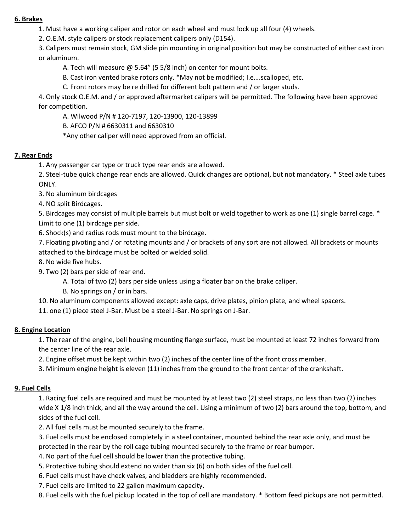#### **6. Brakes**

1. Must have a working caliper and rotor on each wheel and must lock up all four (4) wheels.

2. O.E.M. style calipers or stock replacement calipers only (D154).

3. Calipers must remain stock, GM slide pin mounting in original position but may be constructed of either cast iron or aluminum.

A. Tech will measure @ 5.64" (5 5/8 inch) on center for mount bolts.

B. Cast iron vented brake rotors only. \*May not be modified; I.e….scalloped, etc.

C. Front rotors may be re drilled for different bolt pattern and / or larger studs.

4. Only stock O.E.M. and / or approved aftermarket calipers will be permitted. The following have been approved for competition.

A. Wilwood P/N # 120-7197, 120-13900, 120-13899

B. AFCO P/N # 6630311 and 6630310

\*Any other caliper will need approved from an official.

### **7. Rear Ends**

1. Any passenger car type or truck type rear ends are allowed.

2. Steel-tube quick change rear ends are allowed. Quick changes are optional, but not mandatory. \* Steel axle tubes ONLY.

3. No aluminum birdcages

4. NO split Birdcages.

5. Birdcages may consist of multiple barrels but must bolt or weld together to work as one (1) single barrel cage. \* Limit to one (1) birdcage per side.

6. Shock(s) and radius rods must mount to the birdcage.

7. Floating pivoting and / or rotating mounts and / or brackets of any sort are not allowed. All brackets or mounts attached to the birdcage must be bolted or welded solid.

8. No wide five hubs.

9. Two (2) bars per side of rear end.

A. Total of two (2) bars per side unless using a floater bar on the brake caliper.

B. No springs on / or in bars.

10. No aluminum components allowed except: axle caps, drive plates, pinion plate, and wheel spacers.

11. one (1) piece steel J-Bar. Must be a steel J-Bar. No springs on J-Bar.

#### **8. Engine Location**

1. The rear of the engine, bell housing mounting flange surface, must be mounted at least 72 inches forward from the center line of the rear axle.

2. Engine offset must be kept within two (2) inches of the center line of the front cross member.

3. Minimum engine height is eleven (11) inches from the ground to the front center of the crankshaft.

#### **9. Fuel Cells**

1. Racing fuel cells are required and must be mounted by at least two (2) steel straps, no less than two (2) inches wide X 1/8 inch thick, and all the way around the cell. Using a minimum of two (2) bars around the top, bottom, and sides of the fuel cell.

2. All fuel cells must be mounted securely to the frame.

3. Fuel cells must be enclosed completely in a steel container, mounted behind the rear axle only, and must be protected in the rear by the roll cage tubing mounted securely to the frame or rear bumper.

4. No part of the fuel cell should be lower than the protective tubing.

5. Protective tubing should extend no wider than six (6) on both sides of the fuel cell.

6. Fuel cells must have check valves, and bladders are highly recommended.

7. Fuel cells are limited to 22 gallon maximum capacity.

8. Fuel cells with the fuel pickup located in the top of cell are mandatory. \* Bottom feed pickups are not permitted.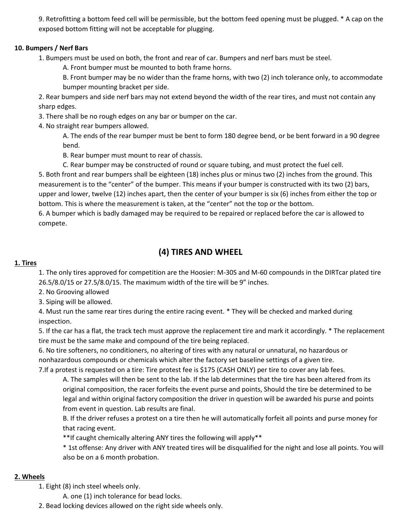9. Retrofitting a bottom feed cell will be permissible, but the bottom feed opening must be plugged. \* A cap on the exposed bottom fitting will not be acceptable for plugging.

# **10. Bumpers / Nerf Bars**

1. Bumpers must be used on both, the front and rear of car. Bumpers and nerf bars must be steel.

A. Front bumper must be mounted to both frame horns.

B. Front bumper may be no wider than the frame horns, with two (2) inch tolerance only, to accommodate bumper mounting bracket per side.

2. Rear bumpers and side nerf bars may not extend beyond the width of the rear tires, and must not contain any sharp edges.

3. There shall be no rough edges on any bar or bumper on the car.

4. No straight rear bumpers allowed.

A. The ends of the rear bumper must be bent to form 180 degree bend, or be bent forward in a 90 degree bend.

B. Rear bumper must mount to rear of chassis.

C. Rear bumper may be constructed of round or square tubing, and must protect the fuel cell. 5. Both front and rear bumpers shall be eighteen (18) inches plus or minus two (2) inches from the ground. This measurement is to the "center" of the bumper. This means if your bumper is constructed with its two (2) bars, upper and lower, twelve (12) inches apart, then the center of your bumper is six (6) inches from either the top or bottom. This is where the measurement is taken, at the "center" not the top or the bottom.

6. A bumper which is badly damaged may be required to be repaired or replaced before the car is allowed to compete.

# **(4) TIRES AND WHEEL**

#### **1. Tires**

1. The only tires approved for competition are the Hoosier: M-30S and M-60 compounds in the DIRTcar plated tire 26.5/8.0/15 or 27.5/8.0/15. The maximum width of the tire will be 9" inches.

2. No Grooving allowed

3. Siping will be allowed.

4. Must run the same rear tires during the entire racing event. \* They will be checked and marked during inspection.

5. If the car has a flat, the track tech must approve the replacement tire and mark it accordingly. \* The replacement tire must be the same make and compound of the tire being replaced.

6. No tire softeners, no conditioners, no altering of tires with any natural or unnatural, no hazardous or nonhazardous compounds or chemicals which alter the factory set baseline settings of a given tire.

7.If a protest is requested on a tire: Tire protest fee is \$175 (CASH ONLY) per tire to cover any lab fees.

A. The samples will then be sent to the lab. If the lab determines that the tire has been altered from its original composition, the racer forfeits the event purse and points, Should the tire be determined to be legal and within original factory composition the driver in question will be awarded his purse and points from event in question. Lab results are final.

B. If the driver refuses a protest on a tire then he will automatically forfeit all points and purse money for that racing event.

\*\*If caught chemically altering ANY tires the following will apply\*\*

\* 1st offense: Any driver with ANY treated tires will be disqualified for the night and lose all points. You will also be on a 6 month probation.

#### **2. Wheels**

1. Eight (8) inch steel wheels only.

A. one (1) inch tolerance for bead locks.

2. Bead locking devices allowed on the right side wheels only.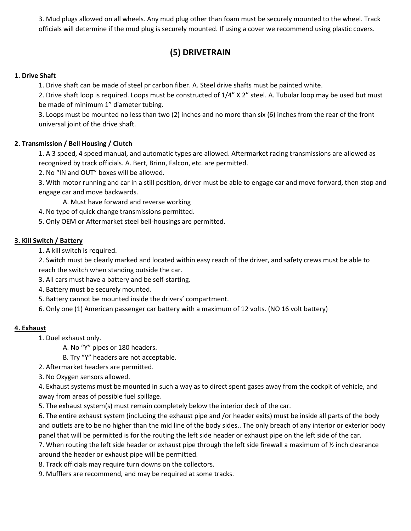3. Mud plugs allowed on all wheels. Any mud plug other than foam must be securely mounted to the wheel. Track officials will determine if the mud plug is securely mounted. If using a cover we recommend using plastic covers.

# **(5) DRIVETRAIN**

# **1. Drive Shaft**

1. Drive shaft can be made of steel pr carbon fiber. A. Steel drive shafts must be painted white.

2. Drive shaft loop is required. Loops must be constructed of 1/4" X 2" steel. A. Tubular loop may be used but must be made of minimum 1" diameter tubing.

3. Loops must be mounted no less than two (2) inches and no more than six (6) inches from the rear of the front universal joint of the drive shaft.

# **2. Transmission / Bell Housing / Clutch**

1. A 3 speed, 4 speed manual, and automatic types are allowed. Aftermarket racing transmissions are allowed as recognized by track officials. A. Bert, Brinn, Falcon, etc. are permitted.

2. No "IN and OUT" boxes will be allowed.

3. With motor running and car in a still position, driver must be able to engage car and move forward, then stop and engage car and move backwards.

A. Must have forward and reverse working

4. No type of quick change transmissions permitted.

5. Only OEM or Aftermarket steel bell-housings are permitted.

# **3. Kill Switch / Battery**

1. A kill switch is required.

2. Switch must be clearly marked and located within easy reach of the driver, and safety crews must be able to reach the switch when standing outside the car.

- 3. All cars must have a battery and be self-starting.
- 4. Battery must be securely mounted.
- 5. Battery cannot be mounted inside the drivers' compartment.
- 6. Only one (1) American passenger car battery with a maximum of 12 volts. (NO 16 volt battery)

# **4. Exhaust**

1. Duel exhaust only.

A. No "Y" pipes or 180 headers.

B. Try "Y" headers are not acceptable.

- 2. Aftermarket headers are permitted.
- 3. No Oxygen sensors allowed.

4. Exhaust systems must be mounted in such a way as to direct spent gases away from the cockpit of vehicle, and away from areas of possible fuel spillage.

5. The exhaust system(s) must remain completely below the interior deck of the car.

6. The entire exhaust system (including the exhaust pipe and /or header exits) must be inside all parts of the body and outlets are to be no higher than the mid line of the body sides.. The only breach of any interior or exterior body panel that will be permitted is for the routing the left side header or exhaust pipe on the left side of the car.

7. When routing the left side header or exhaust pipe through the left side firewall a maximum of  $\frac{1}{2}$  inch clearance around the header or exhaust pipe will be permitted.

- 8. Track officials may require turn downs on the collectors.
- 9. Mufflers are recommend, and may be required at some tracks.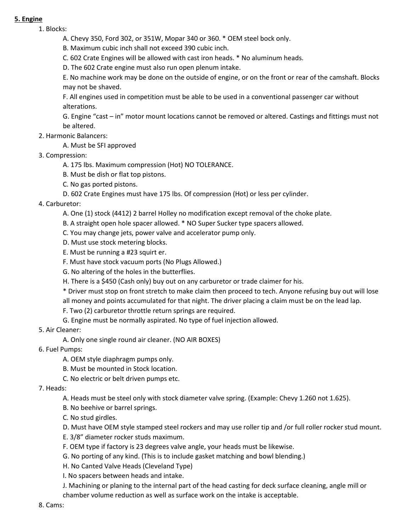#### **5. Engine**

1. Blocks:

A. Chevy 350, Ford 302, or 351W, Mopar 340 or 360. \* OEM steel bock only.

B. Maximum cubic inch shall not exceed 390 cubic inch.

C. 602 Crate Engines will be allowed with cast iron heads. \* No aluminum heads.

D. The 602 Crate engine must also run open plenum intake.

E. No machine work may be done on the outside of engine, or on the front or rear of the camshaft. Blocks may not be shaved.

F. All engines used in competition must be able to be used in a conventional passenger car without alterations.

G. Engine "cast – in" motor mount locations cannot be removed or altered. Castings and fittings must not be altered.

# 2. Harmonic Balancers:

A. Must be SFI approved

- 3. Compression:
	- A. 175 lbs. Maximum compression (Hot) NO TOLERANCE.
	- B. Must be dish or flat top pistons.
	- C. No gas ported pistons.
	- D. 602 Crate Engines must have 175 lbs. Of compression (Hot) or less per cylinder.

### 4. Carburetor:

- A. One (1) stock (4412) 2 barrel Holley no modification except removal of the choke plate.
- B. A straight open hole spacer allowed. \* NO Super Sucker type spacers allowed.
- C. You may change jets, power valve and accelerator pump only.
- D. Must use stock metering blocks.
- E. Must be running a #23 squirt er.
- F. Must have stock vacuum ports (No Plugs Allowed.)
- G. No altering of the holes in the butterflies.
- H. There is a \$450 (Cash only) buy out on any carburetor or trade claimer for his.
- \* Driver must stop on front stretch to make claim then proceed to tech. Anyone refusing buy out will lose all money and points accumulated for that night. The driver placing a claim must be on the lead lap.
- F. Two (2) carburetor throttle return springs are required.
- G. Engine must be normally aspirated. No type of fuel injection allowed.
- 5. Air Cleaner:
	- A. Only one single round air cleaner. (NO AIR BOXES)
- 6. Fuel Pumps:
	- A. OEM style diaphragm pumps only.
	- B. Must be mounted in Stock location.
	- C. No electric or belt driven pumps etc.
- 7. Heads:
	- A. Heads must be steel only with stock diameter valve spring. (Example: Chevy 1.260 not 1.625).
	- B. No beehive or barrel springs.
	- C. No stud girdles.
	- D. Must have OEM style stamped steel rockers and may use roller tip and /or full roller rocker stud mount.
	- E. 3/8" diameter rocker studs maximum.
	- F. OEM type if factory is 23 degrees valve angle, your heads must be likewise.
	- G. No porting of any kind. (This is to include gasket matching and bowl blending.)
	- H. No Canted Valve Heads (Cleveland Type)
	- I. No spacers between heads and intake.

J. Machining or planing to the internal part of the head casting for deck surface cleaning, angle mill or chamber volume reduction as well as surface work on the intake is acceptable.